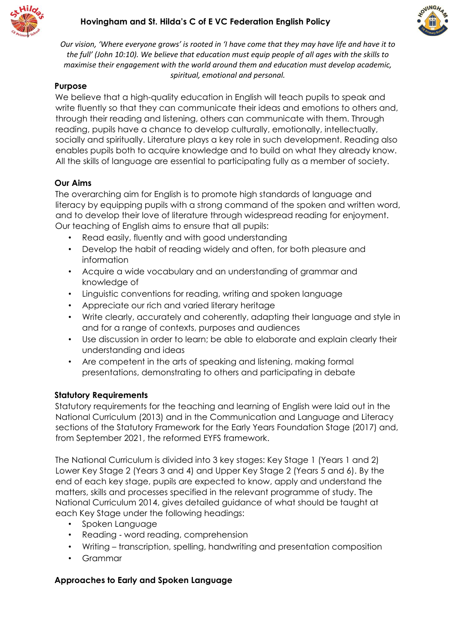



*Our vision, 'Where everyone grows' is rooted in 'I have come that they may have life and have it to the full' (John 10:10). We believe that education must equip people of all ages with the skills to maximise their engagement with the world around them and education must develop academic, spiritual, emotional and personal.*

# **Purpose**

We believe that a high-quality education in English will teach pupils to speak and write fluently so that they can communicate their ideas and emotions to others and, through their reading and listening, others can communicate with them. Through reading, pupils have a chance to develop culturally, emotionally, intellectually, socially and spiritually. Literature plays a key role in such development. Reading also enables pupils both to acquire knowledge and to build on what they already know. All the skills of language are essential to participating fully as a member of society.

### **Our Aims**

The overarching aim for English is to promote high standards of language and literacy by equipping pupils with a strong command of the spoken and written word, and to develop their love of literature through widespread reading for enjoyment. Our teaching of English aims to ensure that all pupils:

- Read easily, fluently and with good understanding
- Develop the habit of reading widely and often, for both pleasure and information
- Acquire a wide vocabulary and an understanding of grammar and knowledge of
- Linguistic conventions for reading, writing and spoken language
- Appreciate our rich and varied literary heritage
- Write clearly, accurately and coherently, adapting their language and style in and for a range of contexts, purposes and audiences
- Use discussion in order to learn; be able to elaborate and explain clearly their understanding and ideas
- Are competent in the arts of speaking and listening, making formal presentations, demonstrating to others and participating in debate

#### **Statutory Requirements**

Statutory requirements for the teaching and learning of English were laid out in the National Curriculum (2013) and in the Communication and Language and Literacy sections of the Statutory Framework for the Early Years Foundation Stage (2017) and, from September 2021, the reformed EYFS framework.

The National Curriculum is divided into 3 key stages: Key Stage 1 (Years 1 and 2) Lower Key Stage 2 (Years 3 and 4) and Upper Key Stage 2 (Years 5 and 6). By the end of each key stage, pupils are expected to know, apply and understand the matters, skills and processes specified in the relevant programme of study. The National Curriculum 2014, gives detailed guidance of what should be taught at each Key Stage under the following headings:

- Spoken Language
- Reading word reading, comprehension
- Writing transcription, spelling, handwriting and presentation composition
- Grammar

# **Approaches to Early and Spoken Language**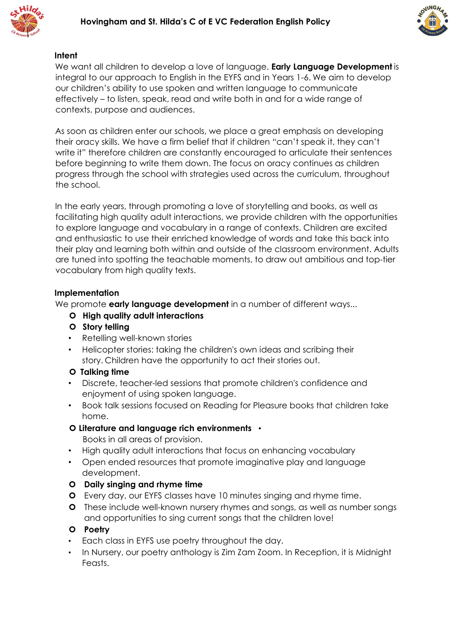



#### **Intent**

We want all children to develop a love of language. **Early Language Development** is integral to our approach to English in the EYFS and in Years 1-6. We aim to develop our children's ability to use spoken and written language to communicate effectively – to listen, speak, read and write both in and for a wide range of contexts, purpose and audiences.

As soon as children enter our schools, we place a great emphasis on developing their oracy skills. We have a firm belief that if children "can't speak it, they can't write it" therefore children are constantly encouraged to articulate their sentences before beginning to write them down. The focus on oracy continues as children progress through the school with strategies used across the curriculum, throughout the school.

In the early years, through promoting a love of storytelling and books, as well as facilitating high quality adult interactions, we provide children with the opportunities to explore language and vocabulary in a range of contexts. Children are excited and enthusiastic to use their enriched knowledge of words and take this back into their play and learning both within and outside of the classroom environment. Adults are tuned into spotting the teachable moments, to draw out ambitious and top-tier vocabulary from high quality texts.

#### **Implementation**

We promote **early language development** in a number of different ways...

#### **High quality adult interactions**

- **Story telling**
- Retelling well-known stories
- Helicopter stories: taking the children's own ideas and scribing their story. Children have the opportunity to act their stories out.

#### **Talking time**

- Discrete, teacher-led sessions that promote children's confidence and enjoyment of using spoken language.
- Book talk sessions focused on Reading for Pleasure books that children take home.
- **Literature and language rich environments** •

Books in all areas of provision.

- High quality adult interactions that focus on enhancing vocabulary
- Open ended resources that promote imaginative play and language development.
- **Daily singing and rhyme time**
- Every day, our EYFS classes have 10 minutes singing and rhyme time.
- **O** These include well-known nursery rhymes and songs, as well as number songs and opportunities to sing current songs that the children love!

#### **Poetry**

- Each class in EYFS use poetry throughout the day.
- In Nursery, our poetry anthology is Zim Zam Zoom. In Reception, it is Midnight Feasts.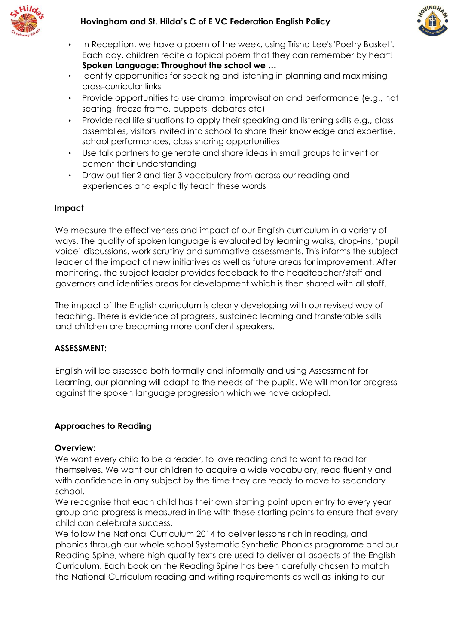



- In Reception, we have a poem of the week, using Trisha Lee's 'Poetry Basket'. Each day, children recite a topical poem that they can remember by heart! **Spoken Language: Throughout the school we …**
- Identify opportunities for speaking and listening in planning and maximising cross-curricular links
- Provide opportunities to use drama, improvisation and performance (e.g., hot seating, freeze frame, puppets, debates etc)
- Provide real life situations to apply their speaking and listening skills e.g., class assemblies, visitors invited into school to share their knowledge and expertise, school performances, class sharing opportunities
- Use talk partners to generate and share ideas in small groups to invent or cement their understanding
- Draw out tier 2 and tier 3 vocabulary from across our reading and experiences and explicitly teach these words

#### **Impact**

We measure the effectiveness and impact of our English curriculum in a variety of ways. The quality of spoken language is evaluated by learning walks, drop-ins, 'pupil voice' discussions, work scrutiny and summative assessments. This informs the subject leader of the impact of new initiatives as well as future areas for improvement. After monitoring, the subject leader provides feedback to the headteacher/staff and governors and identifies areas for development which is then shared with all staff.

The impact of the English curriculum is clearly developing with our revised way of teaching. There is evidence of progress, sustained learning and transferable skills and children are becoming more confident speakers.

#### **ASSESSMENT:**

English will be assessed both formally and informally and using Assessment for Learning, our planning will adapt to the needs of the pupils. We will monitor progress against the spoken language progression which we have adopted.

#### **Approaches to Reading**

#### **Overview:**

We want every child to be a reader, to love reading and to want to read for themselves. We want our children to acquire a wide vocabulary, read fluently and with confidence in any subject by the time they are ready to move to secondary school.

We recognise that each child has their own starting point upon entry to every year group and progress is measured in line with these starting points to ensure that every child can celebrate success.

We follow the National Curriculum 2014 to deliver lessons rich in reading, and phonics through our whole school Systematic Synthetic Phonics programme and our Reading Spine, where high-quality texts are used to deliver all aspects of the English Curriculum. Each book on the Reading Spine has been carefully chosen to match the National Curriculum reading and writing requirements as well as linking to our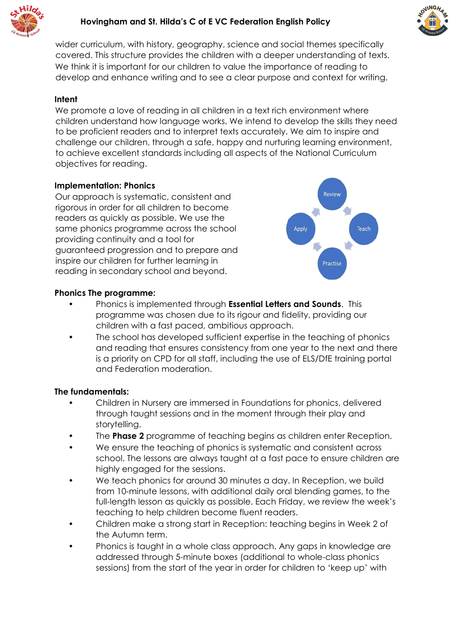



wider curriculum, with history, geography, science and social themes specifically covered. This structure provides the children with a deeper understanding of texts. We think it is important for our children to value the importance of reading to develop and enhance writing and to see a clear purpose and context for writing.

### **Intent**

We promote a love of reading in all children in a text rich environment where children understand how language works. We intend to develop the skills they need to be proficient readers and to interpret texts accurately. We aim to inspire and challenge our children, through a safe, happy and nurturing learning environment, to achieve excellent standards including all aspects of the National Curriculum objectives for reading.

### **Implementation: Phonics**

Our approach is systematic, consistent and rigorous in order for all children to become readers as quickly as possible. We use the same phonics programme across the school providing continuity and a tool for guaranteed progression and to prepare and inspire our children for further learning in reading in secondary school and beyond.



### **Phonics The programme:**

- Phonics is implemented through **Essential Letters and Sounds**. This programme was chosen due to its rigour and fidelity, providing our children with a fast paced, ambitious approach.
- The school has developed sufficient expertise in the teaching of phonics and reading that ensures consistency from one year to the next and there is a priority on CPD for all staff, including the use of ELS/DfE training portal and Federation moderation.

#### **The fundamentals:**

- Children in Nursery are immersed in Foundations for phonics, delivered through taught sessions and in the moment through their play and storytelling.
- The **Phase 2** programme of teaching begins as children enter Reception.
- We ensure the teaching of phonics is systematic and consistent across school. The lessons are always taught at a fast pace to ensure children are highly engaged for the sessions.
- We teach phonics for around 30 minutes a day. In Reception, we build from 10-minute lessons, with additional daily oral blending games, to the full-length lesson as quickly as possible. Each Friday, we review the week's teaching to help children become fluent readers.
- Children make a strong start in Reception: teaching begins in Week 2 of the Autumn term.
- Phonics is taught in a whole class approach. Any gaps in knowledge are addressed through 5-minute boxes (additional to whole-class phonics sessions) from the start of the year in order for children to 'keep up' with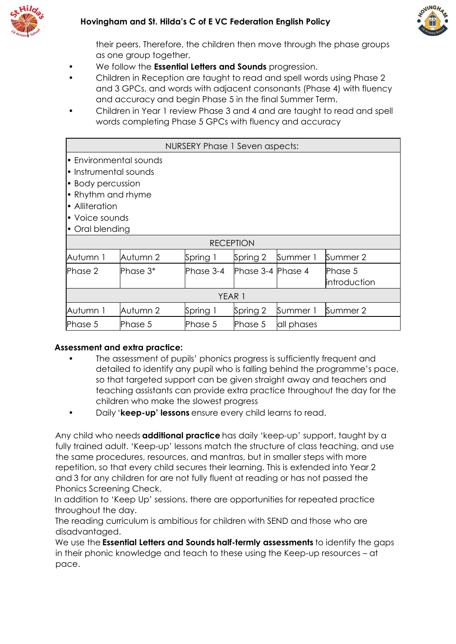



their peers. Therefore, the children then move through the phase groups as one group together,

- We follow the **Essential Letters and Sounds** progression.
- Children in Reception are taught to read and spell words using Phase 2 and 3 GPCs, and words with adjacent consonants (Phase 4) with fluency and accuracy and begin Phase 5 in the final Summer Term.
- Children in Year 1 review Phase 3 and 4 and are taught to read and spell words completing Phase 5 GPCs with fluency and accuracy

| NURSERY Phase 1 Seven aspects:                                                                                                                    |          |           |                   |            |                          |
|---------------------------------------------------------------------------------------------------------------------------------------------------|----------|-----------|-------------------|------------|--------------------------|
| • Environmental sounds<br>• Instrumental sounds<br>• Body percussion<br>• Rhythm and rhyme<br>• Alliteration<br>• Voice sounds<br>• Oral blending |          |           |                   |            |                          |
| <b>RECEPTION</b>                                                                                                                                  |          |           |                   |            |                          |
| Autumn 1                                                                                                                                          | Autumn 2 | Spring 1  | Spring 2          | Summer 1   | Summer 2                 |
| Phase 2                                                                                                                                           | Phase 3* | Phase 3-4 | Phase 3-4 Phase 4 |            | lPhase 5<br>introduction |
| YEAR 1                                                                                                                                            |          |           |                   |            |                          |
| Autumn 1                                                                                                                                          | Autumn 2 | Spring 1  | Spring 2          | Summer 1   | Summer 2                 |
| Phase 5                                                                                                                                           | Phase 5  | Phase 5   | Phase 5           | all phases |                          |

#### **Assessment and extra practice:**

- The assessment of pupils' phonics progress is sufficiently frequent and detailed to identify any pupil who is falling behind the programme's pace, so that targeted support can be given straight away and teachers and teaching assistants can provide extra practice throughout the day for the children who make the slowest progress
- Daily '**keep-up' lessons** ensure every child learns to read.

Any child who needs **additional practice** has daily 'keep-up' support, taught by a fully trained adult. 'Keep-up' lessons match the structure of class teaching, and use the same procedures, resources, and mantras, but in smaller steps with more repetition, so that every child secures their learning. This is extended into Year 2 and 3 for any children for are not fully fluent at reading or has not passed the Phonics Screening Check.

In addition to 'Keep Up' sessions, there are opportunities for repeated practice throughout the day.

The reading curriculum is ambitious for children with SEND and those who are disadvantaged.

We use the **Essential Letters and Sounds half-termly assessments** to identify the gaps in their phonic knowledge and teach to these using the Keep-up resources – at pace.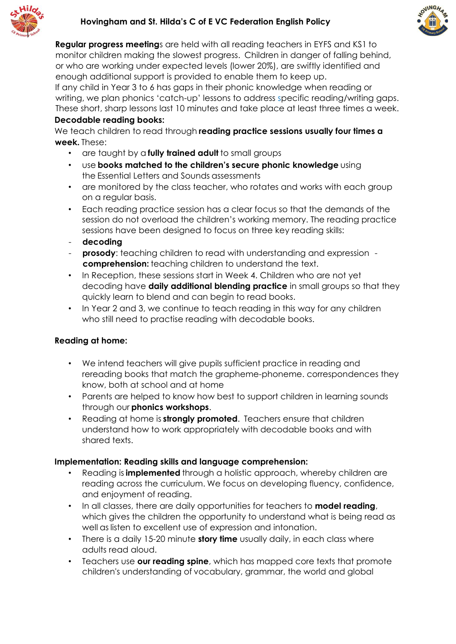



**Regular progress meeting**s are held with all reading teachers in EYFS and KS1 to monitor children making the slowest progress. Children in danger of falling behind, or who are working under expected levels (lower 20%), are swiftly identified and enough additional support is provided to enable them to keep up.

If any child in Year 3 to 6 has gaps in their phonic knowledge when reading or writing, we plan phonics 'catch-up' lessons to address specific reading/writing gaps. These short, sharp lessons last 10 minutes and take place at least three times a week. **Decodable reading books:**

### We teach children to read through **reading practice sessions usually four times a week.** These:

- are taught by a **fully trained adult** to small groups
- use **books matched to the children's secure phonic knowledge** using the Essential Letters and Sounds assessments
- are monitored by the class teacher, who rotates and works with each group on a regular basis.
- Each reading practice session has a clear focus so that the demands of the session do not overload the children's working memory. The reading practice sessions have been designed to focus on three key reading skills:
- **decoding**
- **prosody**: teaching children to read with understanding and expression **comprehension:** teaching children to understand the text.
- In Reception, these sessions start in Week 4. Children who are not yet decoding have **daily additional blending practice** in small groups so that they quickly learn to blend and can begin to read books.
- In Year 2 and 3, we continue to teach reading in this way for any children who still need to practise reading with decodable books.

# **Reading at home:**

- We intend teachers will give pupils sufficient practice in reading and rereading books that match the grapheme-phoneme. correspondences they know, both at school and at home
- Parents are helped to know how best to support children in learning sounds through our **phonics workshops**.
- Reading at home is **strongly promoted**. Teachers ensure that children understand how to work appropriately with decodable books and with shared texts.

# **Implementation: Reading skills and language comprehension:**

- Reading is **implemented** through a holistic approach, whereby children are reading across the curriculum. We focus on developing fluency, confidence, and enjoyment of reading.
- In all classes, there are daily opportunities for teachers to **model reading**, which gives the children the opportunity to understand what is being read as well as listen to excellent use of expression and intonation.
- There is a daily 15-20 minute **story time** usually daily, in each class where adults read aloud.
- Teachers use **our reading spine**, which has mapped core texts that promote children's understanding of vocabulary, grammar, the world and global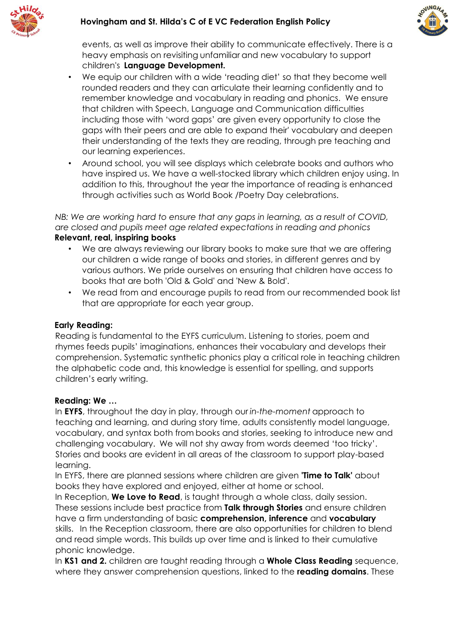



events, as well as improve their ability to communicate effectively. There is a heavy emphasis on revisiting unfamiliar and new vocabulary to support children'[s](https://www.keeblegatewayacademy.org/learning/early-language-development) **[Language Development.](https://www.keeblegatewayacademy.org/learning/early-language-development)**

- We equip our children with a wide 'reading diet' so that they become well rounded readers and they can articulate their learning confidently and to remember knowledge and vocabulary in reading and phonics. We ensure that children with Speech, Language and Communication difficulties including those with 'word gaps' are given every opportunity to close the gaps with their peers and are able to expand their' vocabulary and deepen their understanding of the texts they are reading, through pre teaching and our learning experiences.
- Around school, you will see displays which celebrate books and authors who have inspired us. We have a well-stocked library which children enjoy using. In addition to this, throughout the year the importance of reading is enhanced through activities such as World Book /Poetry Day celebrations.

*NB: We are working hard to ensure that any gaps in learning, as a result of COVID, are closed and pupils meet age related expectations in reading and phonics*  **Relevant, real, inspiring books**

- We are always reviewing our library books to make sure that we are offering our children a wide range of books and stories, in different genres and by various authors. We pride ourselves on ensuring that children have access to books that are both 'Old & Gold' and 'New & Bold'.
- We read from and encourage pupils to read from our recommended book list that are appropriate for each year group.

#### **Early Reading:**

Reading is fundamental to the EYFS curriculum. Listening to stories, poem and rhymes feeds pupils' imaginations, enhances their vocabulary and develops their comprehension. Systematic synthetic phonics play a critical role in teaching children the alphabetic code and, this knowledge is essential for spelling, and supports children's early writing.

#### **Reading: We …**

In **EYFS**, throughout the day in play, through our *in-the-moment* approach to teaching and learning, and during story time, adults consistently model language, vocabulary, and syntax both from books and stories, seeking to introduce new and challenging vocabulary. We will not shy away from words deemed 'too tricky'.   Stories and books are evident in all areas of the classroom to support play-based learning.  

In EYFS, there are planned sessions where children are given **'Time to Talk'** about books they have explored and enjoyed, either at home or school.

In Reception, **We Love to Read**, is taught through a whole class, daily session. These sessions include best practice from **Talk through Stories** and ensure children have a firm understanding of basic **comprehension, inference** and **vocabulary** skills. In the Reception classroom, there are also opportunities for children to blend and read simple words. This builds up over time and is linked to their cumulative phonic knowledge.

In **KS1 and 2.** children are taught reading through a **Whole Class Reading** sequence, where they answer comprehension questions, linked to the **reading domains**. These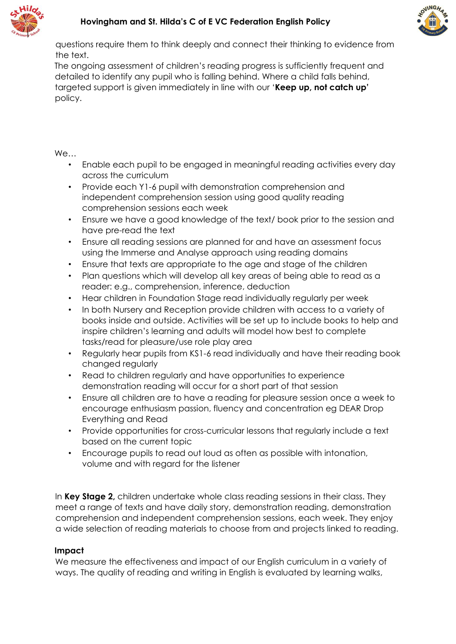



questions require them to think deeply and connect their thinking to evidence from the text.

The ongoing assessment of children's reading progress is sufficiently frequent and detailed to identify any pupil who is falling behind. Where a child falls behind, targeted support is given immediately in line with our '**Keep up, not catch up'**  policy.  

We…

- Enable each pupil to be engaged in meaningful reading activities every day across the curriculum
- Provide each Y1-6 pupil with demonstration comprehension and independent comprehension session using good quality reading comprehension sessions each week
- Ensure we have a good knowledge of the text/ book prior to the session and have pre-read the text
- Ensure all reading sessions are planned for and have an assessment focus using the Immerse and Analyse approach using reading domains
- Ensure that texts are appropriate to the age and stage of the children
- Plan questions which will develop all key areas of being able to read as a reader: e.g., comprehension, inference, deduction
- Hear children in Foundation Stage read individually regularly per week
- In both Nursery and Reception provide children with access to a variety of books inside and outside. Activities will be set up to include books to help and inspire children's learning and adults will model how best to complete tasks/read for pleasure/use role play area
- Regularly hear pupils from KS1-6 read individually and have their reading book changed regularly
- Read to children regularly and have opportunities to experience demonstration reading will occur for a short part of that session
- Ensure all children are to have a reading for pleasure session once a week to encourage enthusiasm passion, fluency and concentration eg DEAR Drop Everything and Read
- Provide opportunities for cross-curricular lessons that regularly include a text based on the current topic
- Encourage pupils to read out loud as often as possible with intonation, volume and with regard for the listener

In **Key Stage 2,** children undertake whole class reading sessions in their class. They meet a range of texts and have daily story, demonstration reading, demonstration comprehension and independent comprehension sessions, each week. They enjoy a wide selection of reading materials to choose from and projects linked to reading.

# **Impact**

We measure the effectiveness and impact of our English curriculum in a variety of ways. The quality of reading and writing in English is evaluated by learning walks,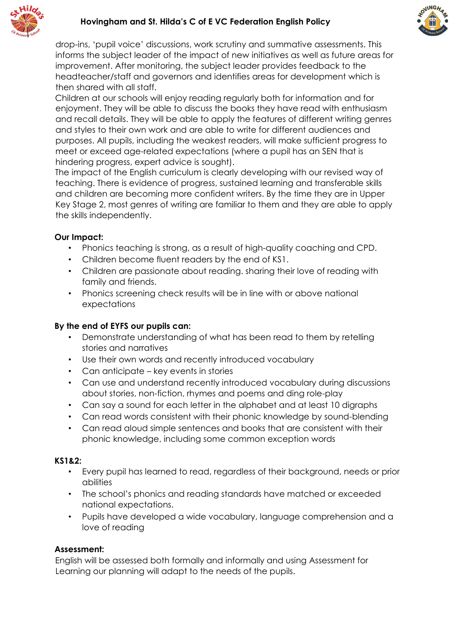



drop-ins, 'pupil voice' discussions, work scrutiny and summative assessments. This informs the subject leader of the impact of new initiatives as well as future areas for improvement. After monitoring, the subject leader provides feedback to the headteacher/staff and governors and identifies areas for development which is then shared with all staff.

Children at our schools will enjoy reading regularly both for information and for enjoyment. They will be able to discuss the books they have read with enthusiasm and recall details. They will be able to apply the features of different writing genres and styles to their own work and are able to write for different audiences and purposes. All pupils, including the weakest readers, will make sufficient progress to meet or exceed age-related expectations (where a pupil has an SEN that is hindering progress, expert advice is sought).

The impact of the English curriculum is clearly developing with our revised way of teaching. There is evidence of progress, sustained learning and transferable skills and children are becoming more confident writers. By the time they are in Upper Key Stage 2, most genres of writing are familiar to them and they are able to apply the skills independently.

### **Our Impact:**

- Phonics teaching is strong, as a result of high-quality coaching and CPD.
- Children become fluent readers by the end of KS1.
- Children are passionate about reading. sharing their love of reading with family and friends.
- Phonics screening check results will be in line with or above national expectations

### **By the end of EYFS our pupils can:**

- Demonstrate understanding of what has been read to them by retelling stories and narratives
- Use their own words and recently introduced vocabulary
- Can anticipate key events in stories
- Can use and understand recently introduced vocabulary during discussions about stories, non-fiction, rhymes and poems and ding role-play
- Can say a sound for each letter in the alphabet and at least 10 digraphs
- Can read words consistent with their phonic knowledge by sound-blending
- Can read aloud simple sentences and books that are consistent with their phonic knowledge, including some common exception words

#### **KS1&2:**

- Every pupil has learned to read, regardless of their background, needs or prior abilities
- The school's phonics and reading standards have matched or exceeded national expectations.
- Pupils have developed a wide vocabulary, language comprehension and a love of reading

#### **Assessment:**

English will be assessed both formally and informally and using Assessment for Learning our planning will adapt to the needs of the pupils.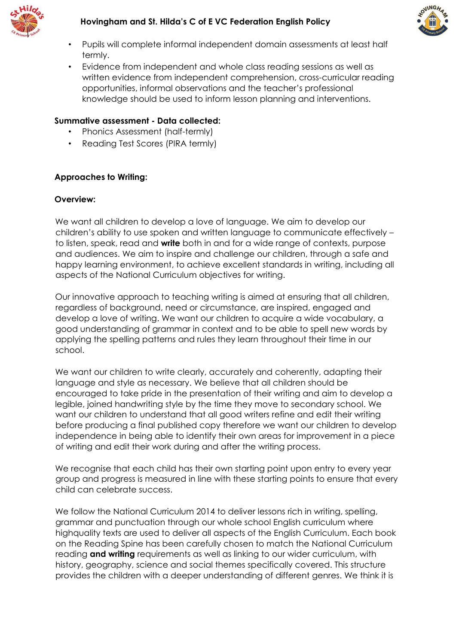



- Pupils will complete informal independent domain assessments at least half termly.
- Evidence from independent and whole class reading sessions as well as written evidence from independent comprehension, cross-curricular reading opportunities, informal observations and the teacher's professional knowledge should be used to inform lesson planning and interventions.

### **Summative assessment - Data collected:**

- Phonics Assessment (half-termly)
- Reading Test Scores (PIRA termly)

### **Approaches to Writing:**

#### **Overview:**

We want all children to develop a love of language. We aim to develop our children's ability to use spoken and written language to communicate effectively – to listen, speak, read and **write** both in and for a wide range of contexts, purpose and audiences. We aim to inspire and challenge our children, through a safe and happy learning environment, to achieve excellent standards in writing, including all aspects of the National Curriculum objectives for writing.

Our innovative approach to teaching writing is aimed at ensuring that all children, regardless of background, need or circumstance, are inspired, engaged and develop a love of writing. We want our children to acquire a wide vocabulary, a good understanding of grammar in context and to be able to spell new words by applying the spelling patterns and rules they learn throughout their time in our school.

We want our children to write clearly, accurately and coherently, adapting their language and style as necessary. We believe that all children should be encouraged to take pride in the presentation of their writing and aim to develop a legible, joined handwriting style by the time they move to secondary school. We want our children to understand that all good writers refine and edit their writing before producing a final published copy therefore we want our children to develop independence in being able to identify their own areas for improvement in a piece of writing and edit their work during and after the writing process.

We recognise that each child has their own starting point upon entry to every year group and progress is measured in line with these starting points to ensure that every child can celebrate success.

We follow the National Curriculum 2014 to deliver lessons rich in writing, spelling, grammar and punctuation through our whole school English curriculum where highquality texts are used to deliver all aspects of the English Curriculum. Each book on the Reading Spine has been carefully chosen to match the National Curriculum reading **and writing** requirements as well as linking to our wider curriculum, with history, geography, science and social themes specifically covered. This structure provides the children with a deeper understanding of different genres. We think it is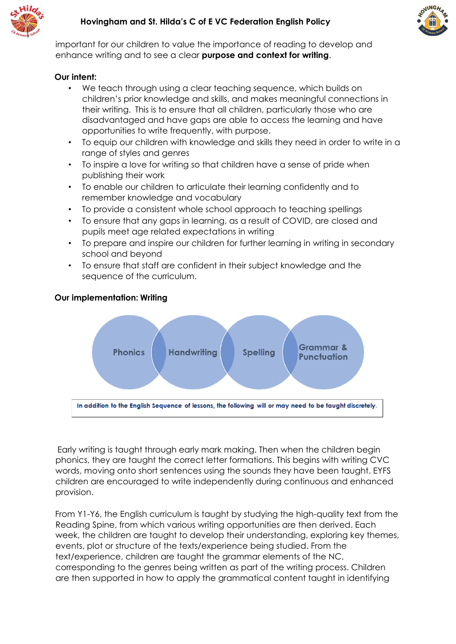



important for our children to value the importance of reading to develop and enhance writing and to see a clear **purpose and context for writing**.

### **Our intent:**

- We teach through using a clear teaching sequence, which builds on children's prior knowledge and skills, and makes meaningful connections in their writing. This is to ensure that all children, particularly those who are disadvantaged and have gaps are able to access the learning and have opportunities to write frequently, with purpose.
- To equip our children with knowledge and skills they need in order to write in a range of styles and genres
- To inspire a love for writing so that children have a sense of pride when publishing their work
- To enable our children to articulate their learning confidently and to remember knowledge and vocabulary
- To provide a consistent whole school approach to teaching spellings
- To ensure that any gaps in learning, as a result of COVID, are closed and pupils meet age related expectations in writing
- To prepare and inspire our children for further learning in writing in secondary school and beyond
- To ensure that staff are confident in their subject knowledge and the sequence of the curriculum.



# **Our implementation: Writing**

Early writing is taught through early mark making. Then when the children begin phonics, they are taught the correct letter formations. This begins with writing CVC words, moving onto short sentences using the sounds they have been taught. EYFS children are encouraged to write independently during continuous and enhanced provision.

From Y1-Y6, the English curriculum is taught by studying the high-quality text from the Reading Spine, from which various writing opportunities are then derived. Each week, the children are taught to develop their understanding, exploring key themes, events, plot or structure of the texts/experience being studied. From the text/experience, children are taught the grammar elements of the NC, corresponding to the genres being written as part of the writing process. Children are then supported in how to apply the grammatical content taught in identifying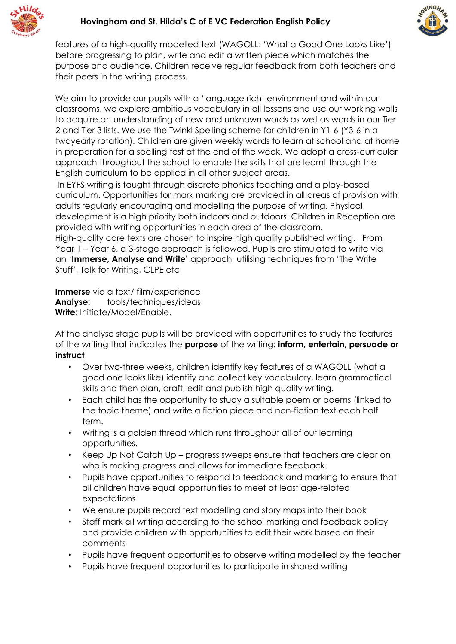



features of a high-quality modelled text (WAGOLL: 'What a Good One Looks Like') before progressing to plan, write and edit a written piece which matches the purpose and audience. Children receive regular feedback from both teachers and their peers in the writing process.

We aim to provide our pupils with a 'language rich' environment and within our classrooms, we explore ambitious vocabulary in all lessons and use our working walls to acquire an understanding of new and unknown words as well as words in our Tier 2 and Tier 3 lists. We use the Twinkl Spelling scheme for children in Y1-6 (Y3-6 in a twoyearly rotation). Children are given weekly words to learn at school and at home in preparation for a spelling test at the end of the week. We adopt a cross-curricular approach throughout the school to enable the skills that are learnt through the English curriculum to be applied in all other subject areas.

In EYFS writing is taught through discrete phonics teaching and a play-based curriculum. Opportunities for mark marking are provided in all areas of provision with adults regularly encouraging and modelling the purpose of writing. Physical development is a high priority both indoors and outdoors. Children in Reception are provided with writing opportunities in each area of the classroom. High-quality core texts are chosen to inspire high quality published writing. From

Year 1 – Year 6, a 3-stage approach is followed. Pupils are stimulated to write via an '**Immerse, Analyse and Write'** approach, utilising techniques from 'The Write Stuff', Talk for Writing, CLPE etc

**Immerse** via a text/ film/experience **Analyse**: tools/techniques/ideas **Write**: Initiate/Model/Enable.

At the analyse stage pupils will be provided with opportunities to study the features of the writing that indicates the **purpose** of the writing: **inform, entertain, persuade or instruct**

- Over two-three weeks, children identify key features of a WAGOLL (what a good one looks like) identify and collect key vocabulary, learn grammatical skills and then plan, draft, edit and publish high quality writing.
- Each child has the opportunity to study a suitable poem or poems (linked to the topic theme) and write a fiction piece and non-fiction text each half term.
- Writing is a golden thread which runs throughout all of our learning opportunities.
- Keep Up Not Catch Up progress sweeps ensure that teachers are clear on who is making progress and allows for immediate feedback.
- Pupils have opportunities to respond to feedback and marking to ensure that all children have equal opportunities to meet at least age-related expectations
- We ensure pupils record text modelling and story maps into their book
- Staff mark all writing according to the school marking and feedback policy and provide children with opportunities to edit their work based on their comments
- Pupils have frequent opportunities to observe writing modelled by the teacher
- Pupils have frequent opportunities to participate in shared writing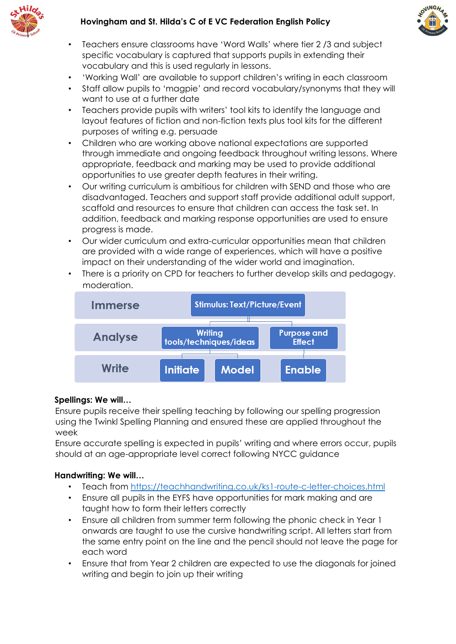



- Teachers ensure classrooms have 'Word Walls' where tier 2 /3 and subject specific vocabulary is captured that supports pupils in extending their vocabulary and this is used regularly in lessons.
- 'Working Wall' are available to support children's writing in each classroom
- Staff allow pupils to 'magpie' and record vocabulary/synonyms that they will want to use at a further date
- Teachers provide pupils with writers' tool kits to identify the language and layout features of fiction and non-fiction texts plus tool kits for the different purposes of writing e.g. persuade
- Children who are working above national expectations are supported through immediate and ongoing feedback throughout writing lessons. Where appropriate, feedback and marking may be used to provide additional opportunities to use greater depth features in their writing.
- Our writing curriculum is ambitious for children with SEND and those who are disadvantaged. Teachers and support staff provide additional adult support, scaffold and resources to ensure that children can access the task set. In addition, feedback and marking response opportunities are used to ensure progress is made.
- Our wider curriculum and extra-curricular opportunities mean that children are provided with a wide range of experiences, which will have a positive impact on their understanding of the wider world and imagination.
- There is a priority on CPD for teachers to further develop skills and pedagogy. moderation.



# **Spellings: We will…**

Ensure pupils receive their spelling teaching by following our spelling progression using the Twinkl Spelling Planning and ensured these are applied throughout the week

Ensure accurate spelling is expected in pupils' writing and where errors occur, pupils should at an age-appropriate level correct following NYCC guidance

# **Handwriting: We will…**

- Teach from<https://teachhandwriting.co.uk/ks1-route-c-letter-choices.html>
- Ensure all pupils in the EYFS have opportunities for mark making and are taught how to form their letters correctly
- Ensure all children from summer term following the phonic check in Year 1 onwards are taught to use the cursive handwriting script. All letters start from the same entry point on the line and the pencil should not leave the page for each word
- Ensure that from Year 2 children are expected to use the diagonals for joined writing and begin to join up their writing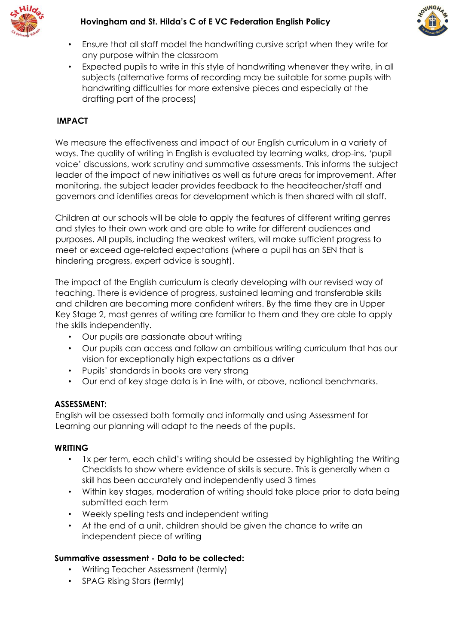



- Ensure that all staff model the handwriting cursive script when they write for any purpose within the classroom
- Expected pupils to write in this style of handwriting whenever they write, in all subjects (alternative forms of recording may be suitable for some pupils with handwriting difficulties for more extensive pieces and especially at the drafting part of the process)

# **IMPACT**

We measure the effectiveness and impact of our English curriculum in a variety of ways. The quality of writing in English is evaluated by learning walks, drop-ins, 'pupil voice' discussions, work scrutiny and summative assessments. This informs the subject leader of the impact of new initiatives as well as future areas for improvement. After monitoring, the subject leader provides feedback to the headteacher/staff and governors and identifies areas for development which is then shared with all staff.

Children at our schools will be able to apply the features of different writing genres and styles to their own work and are able to write for different audiences and purposes. All pupils, including the weakest writers, will make sufficient progress to meet or exceed age-related expectations (where a pupil has an SEN that is hindering progress, expert advice is sought).

The impact of the English curriculum is clearly developing with our revised way of teaching. There is evidence of progress, sustained learning and transferable skills and children are becoming more confident writers. By the time they are in Upper Key Stage 2, most genres of writing are familiar to them and they are able to apply the skills independently.

- Our pupils are passionate about writing
- Our pupils can access and follow an ambitious writing curriculum that has our vision for exceptionally high expectations as a driver
- Pupils' standards in books are very strong
- Our end of key stage data is in line with, or above, national benchmarks.

#### **ASSESSMENT:**

English will be assessed both formally and informally and using Assessment for Learning our planning will adapt to the needs of the pupils.

#### **WRITING**

- 1x per term, each child's writing should be assessed by highlighting the Writing Checklists to show where evidence of skills is secure. This is generally when a skill has been accurately and independently used 3 times
- Within key stages, moderation of writing should take place prior to data being submitted each term
- Weekly spelling tests and independent writing
- At the end of a unit, children should be given the chance to write an independent piece of writing

# **Summative assessment - Data to be collected:**

- Writing Teacher Assessment (termly)
- SPAG Rising Stars (termly)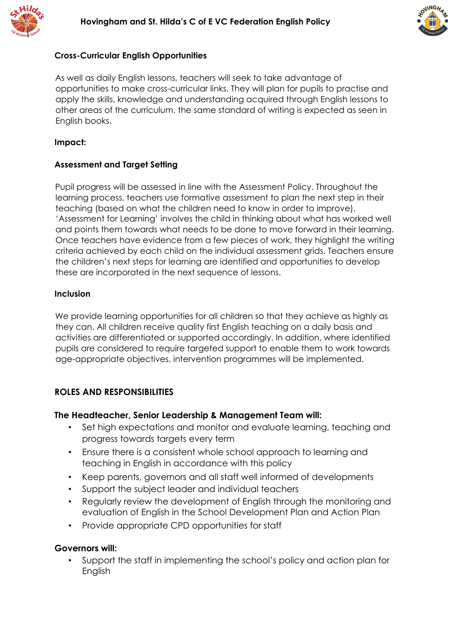



### **Cross-Curricular English Opportunities**

As well as daily English lessons, teachers will seek to take advantage of opportunities to make cross-curricular links. They will plan for pupils to practise and apply the skills, knowledge and understanding acquired through English lessons to other areas of the curriculum, the same standard of writing is expected as seen in English books.

#### **Impact:**

### **Assessment and Target Setting**

Pupil progress will be assessed in line with the Assessment Policy. Throughout the learning process, teachers use formative assessment to plan the next step in their teaching (based on what the children need to know in order to improve). 'Assessment for Learning' involves the child in thinking about what has worked well and points them towards what needs to be done to move forward in their learning. Once teachers have evidence from a few pieces of work, they highlight the writing criteria achieved by each child on the individual assessment grids. Teachers ensure the children's next steps for learning are identified and opportunities to develop these are incorporated in the next sequence of lessons.

#### **Inclusion**

We provide learning opportunities for all children so that they achieve as highly as they can. All children receive quality first English teaching on a daily basis and activities are differentiated or supported accordingly. In addition, where identified pupils are considered to require targeted support to enable them to work towards age-appropriate objectives, intervention programmes will be implemented.

# **ROLES AND RESPONSIBILITIES**

#### **The Headteacher, Senior Leadership & Management Team will:**

- Set high expectations and monitor and evaluate learning, teaching and progress towards targets every term
- Ensure there is a consistent whole school approach to learning and teaching in English in accordance with this policy
- Keep parents, governors and all staff well informed of developments
- Support the subject leader and individual teachers
- Regularly review the development of English through the monitoring and evaluation of English in the School Development Plan and Action Plan
- Provide appropriate CPD opportunities for staff

#### **Governors will:**

• Support the staff in implementing the school's policy and action plan for English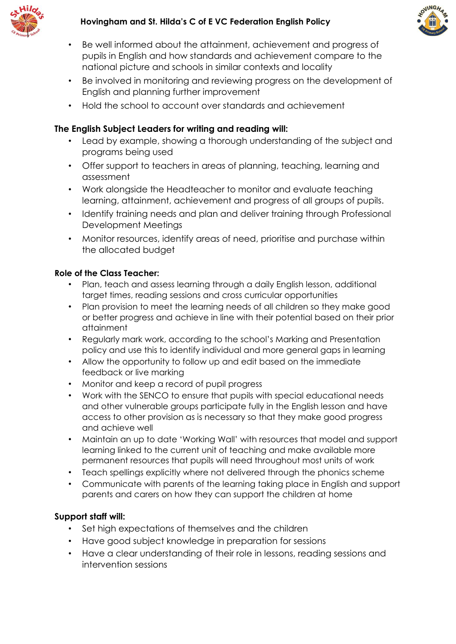



- Be well informed about the attainment, achievement and progress of pupils in English and how standards and achievement compare to the national picture and schools in similar contexts and locality
- Be involved in monitoring and reviewing progress on the development of English and planning further improvement
- Hold the school to account over standards and achievement

# **The English Subject Leaders for writing and reading will:**

- Lead by example, showing a thorough understanding of the subject and programs being used
- Offer support to teachers in areas of planning, teaching, learning and assessment
- Work alongside the Headteacher to monitor and evaluate teaching learning, attainment, achievement and progress of all groups of pupils.
- Identify training needs and plan and deliver training through Professional Development Meetings
- Monitor resources, identify areas of need, prioritise and purchase within the allocated budget

# **Role of the Class Teacher:**

- Plan, teach and assess learning through a daily English lesson, additional target times, reading sessions and cross curricular opportunities
- Plan provision to meet the learning needs of all children so they make good or better progress and achieve in line with their potential based on their prior attainment
- Regularly mark work, according to the school's Marking and Presentation policy and use this to identify individual and more general gaps in learning
- Allow the opportunity to follow up and edit based on the immediate feedback or live marking
- Monitor and keep a record of pupil progress
- Work with the SENCO to ensure that pupils with special educational needs and other vulnerable groups participate fully in the English lesson and have access to other provision as is necessary so that they make good progress and achieve well
- Maintain an up to date 'Working Wall' with resources that model and support learning linked to the current unit of teaching and make available more permanent resources that pupils will need throughout most units of work
- Teach spellings explicitly where not delivered through the phonics scheme
- Communicate with parents of the learning taking place in English and support parents and carers on how they can support the children at home

# **Support staff will:**

- Set high expectations of themselves and the children
- Have good subject knowledge in preparation for sessions
- Have a clear understanding of their role in lessons, reading sessions and intervention sessions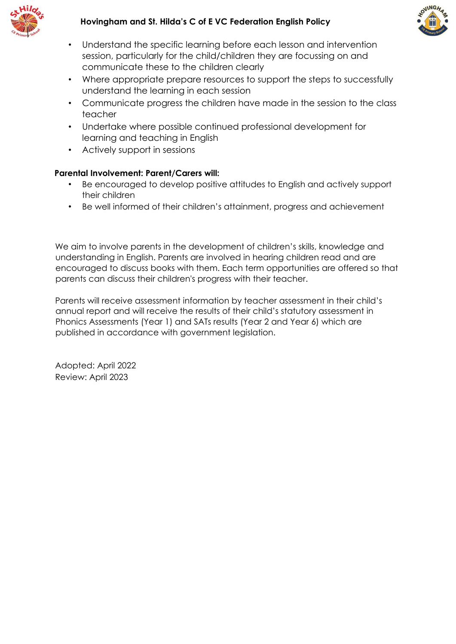



- Understand the specific learning before each lesson and intervention session, particularly for the child/children they are focussing on and communicate these to the children clearly
- Where appropriate prepare resources to support the steps to successfully understand the learning in each session
- Communicate progress the children have made in the session to the class teacher
- Undertake where possible continued professional development for learning and teaching in English
- Actively support in sessions

# **Parental Involvement: Parent/Carers will:**

- Be encouraged to develop positive attitudes to English and actively support their children
- Be well informed of their children's attainment, progress and achievement

We aim to involve parents in the development of children's skills, knowledge and understanding in English. Parents are involved in hearing children read and are encouraged to discuss books with them. Each term opportunities are offered so that parents can discuss their children's progress with their teacher.

Parents will receive assessment information by teacher assessment in their child's annual report and will receive the results of their child's statutory assessment in Phonics Assessments (Year 1) and SATs results (Year 2 and Year 6) which are published in accordance with government legislation.

Adopted: April 2022 Review: April 2023